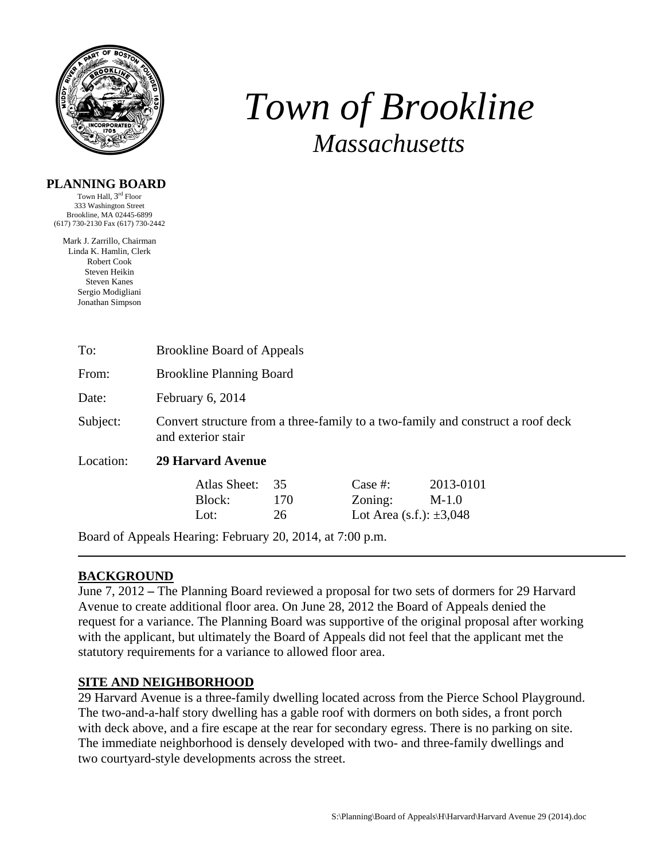

# *Town of Brookline Massachusetts*

### **PLANNING BOARD**

Town Hall,  $3^{\text{rd}}$  Floor 333 Washington Street Brookline, MA 02445-6899 (617) 730-2130 Fax (617) 730-2442

Mark J. Zarrillo, Chairman Linda K. Hamlin, Clerk Robert Cook Steven Heikin Steven Kanes Sergio Modigliani Jonathan Simpson

| To:                                                       | <b>Brookline Board of Appeals</b>                                                                     |                 |                                                       |                      |  |  |  |
|-----------------------------------------------------------|-------------------------------------------------------------------------------------------------------|-----------------|-------------------------------------------------------|----------------------|--|--|--|
| From:                                                     | <b>Brookline Planning Board</b>                                                                       |                 |                                                       |                      |  |  |  |
| Date:                                                     | February 6, 2014                                                                                      |                 |                                                       |                      |  |  |  |
| Subject:                                                  | Convert structure from a three-family to a two-family and construct a roof deck<br>and exterior stair |                 |                                                       |                      |  |  |  |
| Location:                                                 | <b>29 Harvard Avenue</b>                                                                              |                 |                                                       |                      |  |  |  |
|                                                           | Atlas Sheet:<br>Block:<br>Lot:                                                                        | 35<br>170<br>26 | Case $#$ :<br>Zoning:<br>Lot Area (s.f.): $\pm 3,048$ | 2013-0101<br>$M-1.0$ |  |  |  |
| Board of Appeals Hearing: February 20, 2014, at 7:00 p.m. |                                                                                                       |                 |                                                       |                      |  |  |  |

# **BACKGROUND**

June 7, 2012 **–** The Planning Board reviewed a proposal for two sets of dormers for 29 Harvard Avenue to create additional floor area. On June 28, 2012 the Board of Appeals denied the request for a variance. The Planning Board was supportive of the original proposal after working with the applicant, but ultimately the Board of Appeals did not feel that the applicant met the statutory requirements for a variance to allowed floor area.

# **SITE AND NEIGHBORHOOD**

29 Harvard Avenue is a three-family dwelling located across from the Pierce School Playground. The two-and-a-half story dwelling has a gable roof with dormers on both sides, a front porch with deck above, and a fire escape at the rear for secondary egress. There is no parking on site. The immediate neighborhood is densely developed with two- and three-family dwellings and two courtyard-style developments across the street.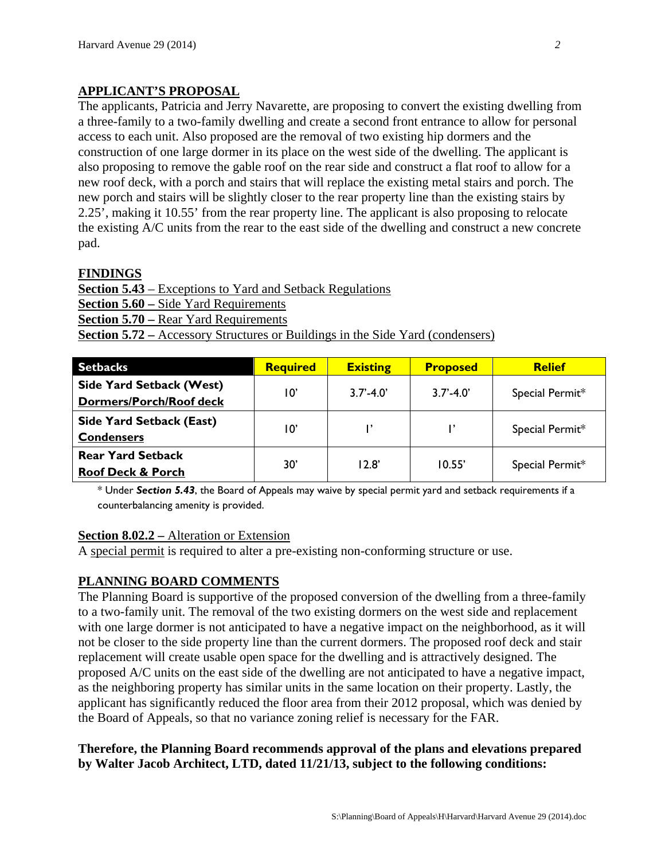## **APPLICANT'S PROPOSAL**

The applicants, Patricia and Jerry Navarette, are proposing to convert the existing dwelling from a three-family to a two-family dwelling and create a second front entrance to allow for personal access to each unit. Also proposed are the removal of two existing hip dormers and the construction of one large dormer in its place on the west side of the dwelling. The applicant is also proposing to remove the gable roof on the rear side and construct a flat roof to allow for a new roof deck, with a porch and stairs that will replace the existing metal stairs and porch. The new porch and stairs will be slightly closer to the rear property line than the existing stairs by 2.25', making it 10.55' from the rear property line. The applicant is also proposing to relocate the existing A/C units from the rear to the east side of the dwelling and construct a new concrete pad.

#### **FINDINGS**

**Section 5.43** – Exceptions to Yard and Setback Regulations **Section 5.60 –** Side Yard Requirements **Section 5.70 –** Rear Yard Requirements **Section 5.72 –** Accessory Structures or Buildings in the Side Yard (condensers)

| <b>Setbacks</b>                                            | <b>Required</b> | <b>Existing</b> | <b>Proposed</b> | <b>Relief</b>   |
|------------------------------------------------------------|-----------------|-----------------|-----------------|-----------------|
| <b>Side Yard Setback (West)</b><br>Dormers/Porch/Roof deck | 10'             | $3.7' - 4.0'$   | $3.7' - 4.0'$   | Special Permit* |
| <b>Side Yard Setback (East)</b><br><b>Condensers</b>       | 10'             | ı,              |                 | Special Permit* |
| <b>Rear Yard Setback</b><br><b>Roof Deck &amp; Porch</b>   | 30'             | 12.8'           | 10.55'          | Special Permit* |

\* Under *Section 5.43*, the Board of Appeals may waive by special permit yard and setback requirements if a counterbalancing amenity is provided.

#### **Section 8.02.2 –** Alteration or Extension

A special permit is required to alter a pre-existing non-conforming structure or use.

#### **PLANNING BOARD COMMENTS**

The Planning Board is supportive of the proposed conversion of the dwelling from a three-family to a two-family unit. The removal of the two existing dormers on the west side and replacement with one large dormer is not anticipated to have a negative impact on the neighborhood, as it will not be closer to the side property line than the current dormers. The proposed roof deck and stair replacement will create usable open space for the dwelling and is attractively designed. The proposed A/C units on the east side of the dwelling are not anticipated to have a negative impact, as the neighboring property has similar units in the same location on their property. Lastly, the applicant has significantly reduced the floor area from their 2012 proposal, which was denied by the Board of Appeals, so that no variance zoning relief is necessary for the FAR.

**Therefore, the Planning Board recommends approval of the plans and elevations prepared by Walter Jacob Architect, LTD, dated 11/21/13, subject to the following conditions:**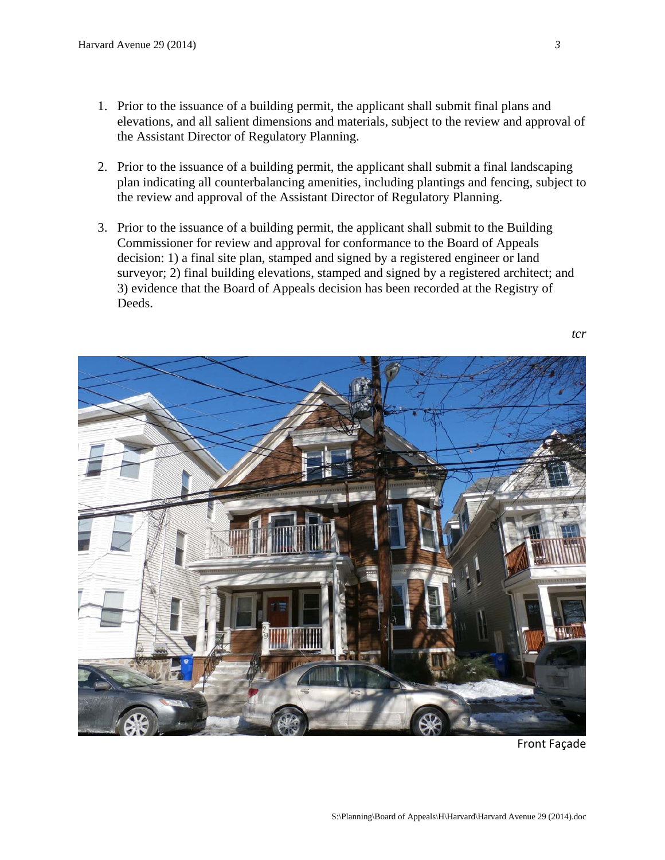- 1. Prior to the issuance of a building permit, the applicant shall submit final plans and elevations, and all salient dimensions and materials, subject to the review and approval of the Assistant Director of Regulatory Planning.
- 2. Prior to the issuance of a building permit, the applicant shall submit a final landscaping plan indicating all counterbalancing amenities, including plantings and fencing, subject to the review and approval of the Assistant Director of Regulatory Planning.
- 3. Prior to the issuance of a building permit, the applicant shall submit to the Building Commissioner for review and approval for conformance to the Board of Appeals decision: 1) a final site plan, stamped and signed by a registered engineer or land surveyor; 2) final building elevations, stamped and signed by a registered architect; and 3) evidence that the Board of Appeals decision has been recorded at the Registry of Deeds.



Front Façade

*tcr*